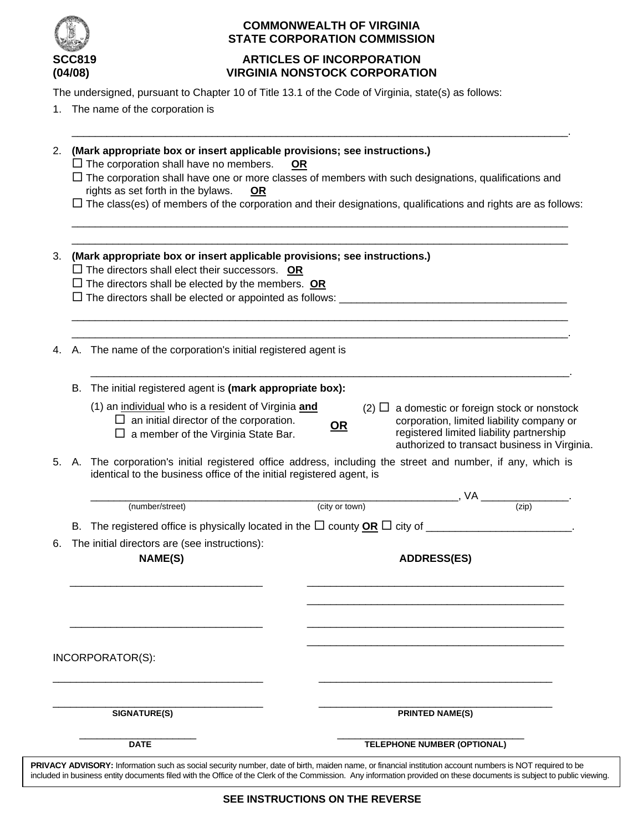

# **COMMONWEALTH OF VIRGINIA STATE CORPORATION COMMISSION**

# **SCC819 ARTICLES OF INCORPORATION (04/08) VIRGINIA NONSTOCK CORPORATION**

The undersigned, pursuant to Chapter 10 of Title 13.1 of the Code of Virginia, state(s) as follows:

1. The name of the corporation is

|          |    | $\Box$ The corporation shall have no members.                                                                                                                                     | <u>OR</u>      |                                                       |  |
|----------|----|-----------------------------------------------------------------------------------------------------------------------------------------------------------------------------------|----------------|-------------------------------------------------------|--|
|          |    | $\Box$ The corporation shall have one or more classes of members with such designations, qualifications and                                                                       |                |                                                       |  |
|          |    | rights as set forth in the bylaws.<br><u>OR</u><br>$\Box$ The class(es) of members of the corporation and their designations, qualifications and rights are as follows:           |                |                                                       |  |
|          |    |                                                                                                                                                                                   |                |                                                       |  |
| 3.       |    | (Mark appropriate box or insert applicable provisions; see instructions.)                                                                                                         |                |                                                       |  |
|          |    | $\Box$ The directors shall elect their successors. OR                                                                                                                             |                |                                                       |  |
|          |    | $\Box$ The directors shall be elected by the members. OR                                                                                                                          |                |                                                       |  |
|          |    |                                                                                                                                                                                   |                |                                                       |  |
| 4.       |    | A. The name of the corporation's initial registered agent is                                                                                                                      |                |                                                       |  |
|          | В. | The initial registered agent is (mark appropriate box):                                                                                                                           |                |                                                       |  |
|          |    | (1) an individual who is a resident of Virginia and<br>$(2)$ $\Box$ a domestic or foreign stock or nonstock                                                                       |                |                                                       |  |
|          |    | $\Box$ an initial director of the corporation.<br>corporation, limited liability company or<br>$OR$                                                                               |                |                                                       |  |
|          |    | $\Box$ a member of the Virginia State Bar.                                                                                                                                        |                | registered limited liability partnership              |  |
|          |    |                                                                                                                                                                                   |                |                                                       |  |
|          |    |                                                                                                                                                                                   |                | authorized to transact business in Virginia.          |  |
|          |    | A. The corporation's initial registered office address, including the street and number, if any, which is<br>identical to the business office of the initial registered agent, is |                |                                                       |  |
|          |    |                                                                                                                                                                                   |                |                                                       |  |
|          |    | (number/street)                                                                                                                                                                   | (city or town) | $\sqrt{V}$ or town) $\sqrt{V}$ (zip)                  |  |
|          |    | B. The registered office is physically located in the $\Box$ county $\overline{OR} \Box$ city of _______________________.                                                         |                |                                                       |  |
|          |    | The initial directors are (see instructions):                                                                                                                                     |                |                                                       |  |
| 5.<br>6. |    | <b>NAME(S)</b>                                                                                                                                                                    |                | <b>ADDRESS(ES)</b>                                    |  |
|          |    |                                                                                                                                                                                   |                |                                                       |  |
|          |    |                                                                                                                                                                                   |                |                                                       |  |
|          |    |                                                                                                                                                                                   |                |                                                       |  |
|          |    |                                                                                                                                                                                   |                |                                                       |  |
|          |    |                                                                                                                                                                                   |                |                                                       |  |
|          |    | INCORPORATOR(S):                                                                                                                                                                  |                |                                                       |  |
|          |    |                                                                                                                                                                                   |                |                                                       |  |
|          |    | <b>SIGNATURE(S)</b>                                                                                                                                                               |                | <b>PRINTED NAME(S)</b><br>TELEPHONE NUMBER (OPTIONAL) |  |